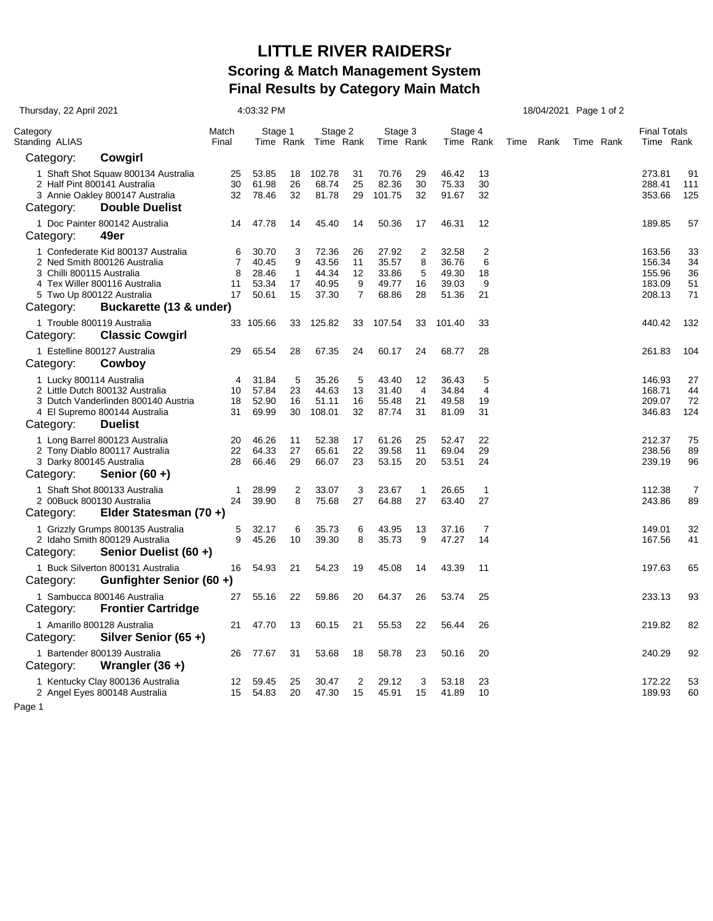## **LITTLE RIVER RAIDERSr Scoring & Match Management System Final Results by Category Main Match**

| Thursday, 22 April 2021                |                                                                                                                                  | 4:03:32 PM                           |                                           |                                    |                                           |                                       | 18/04/2021 Page 1 of 2                    |                                  |                                           |                                 |      |  |           |                                  |                                                |                            |
|----------------------------------------|----------------------------------------------------------------------------------------------------------------------------------|--------------------------------------|-------------------------------------------|------------------------------------|-------------------------------------------|---------------------------------------|-------------------------------------------|----------------------------------|-------------------------------------------|---------------------------------|------|--|-----------|----------------------------------|------------------------------------------------|----------------------------|
| Category<br>Standing ALIAS             |                                                                                                                                  | Match<br>Stage 1<br>Final            |                                           | Stage 2<br>Time Rank Time Rank     |                                           | Stage 3<br>Time Rank                  |                                           | Stage 4<br>Time Rank             |                                           | Time                            | Rank |  | Time Rank | <b>Final Totals</b><br>Time Rank |                                                |                            |
| Category:                              | Cowgirl                                                                                                                          |                                      |                                           |                                    |                                           |                                       |                                           |                                  |                                           |                                 |      |  |           |                                  |                                                |                            |
|                                        | 1 Shaft Shot Squaw 800134 Australia<br>2 Half Pint 800141 Australia<br>3 Annie Oakley 800147 Australia                           | 25<br>30<br>32                       | 53.85<br>61.98<br>78.46                   | 18<br>26<br>32                     | 102.78<br>68.74<br>81.78                  | 31<br>25<br>29                        | 70.76<br>82.36<br>101.75                  | 29<br>30<br>32                   | 46.42<br>75.33<br>91.67                   | 13<br>30<br>32                  |      |  |           |                                  | 273.81<br>288.41<br>353.66                     | 91<br>111<br>125           |
| Category:                              | <b>Double Duelist</b>                                                                                                            |                                      |                                           |                                    |                                           |                                       |                                           |                                  |                                           |                                 |      |  |           |                                  |                                                |                            |
| Category:                              | 1 Doc Painter 800142 Australia<br>49er                                                                                           | 14                                   | 47.78                                     | 14                                 | 45.40                                     | 14                                    | 50.36                                     | 17                               | 46.31                                     | 12                              |      |  |           |                                  | 189.85                                         | 57                         |
| 3 Chilli 800115 Australia              | 1 Confederate Kid 800137 Australia<br>2 Ned Smith 800126 Australia<br>4 Tex Willer 800116 Australia<br>5 Two Up 800122 Australia | 6<br>$\overline{7}$<br>8<br>11<br>17 | 30.70<br>40.45<br>28.46<br>53.34<br>50.61 | 3<br>9<br>$\mathbf{1}$<br>17<br>15 | 72.36<br>43.56<br>44.34<br>40.95<br>37.30 | 26<br>11<br>12<br>9<br>$\overline{7}$ | 27.92<br>35.57<br>33.86<br>49.77<br>68.86 | 2<br>8<br>5<br>16<br>28          | 32.58<br>36.76<br>49.30<br>39.03<br>51.36 | 2<br>6<br>18<br>9<br>21         |      |  |           |                                  | 163.56<br>156.34<br>155.96<br>183.09<br>208.13 | 33<br>34<br>36<br>51<br>71 |
| Category:                              | Buckarette (13 & under)<br>1 Trouble 800119 Australia                                                                            |                                      | 33 105.66                                 | 33                                 | 125.82                                    | 33                                    | 107.54                                    | 33                               | 101.40                                    | 33                              |      |  |           |                                  | 440.42                                         | 132                        |
| Category:                              | <b>Classic Cowgirl</b>                                                                                                           |                                      |                                           |                                    |                                           |                                       |                                           |                                  |                                           |                                 |      |  |           |                                  |                                                |                            |
| Category:                              | 1 Estelline 800127 Australia<br>Cowboy                                                                                           | 29                                   | 65.54                                     | 28                                 | 67.35                                     | 24                                    | 60.17                                     | 24                               | 68.77                                     | 28                              |      |  |           |                                  | 261.83                                         | 104                        |
| 1 Lucky 800114 Australia<br>Category:  | 2 Little Dutch 800132 Australia<br>3 Dutch Vanderlinden 800140 Austria<br>4 El Supremo 800144 Australia<br><b>Duelist</b>        | 4<br>10<br>18<br>31                  | 31.84<br>57.84<br>52.90<br>69.99          | 5<br>23<br>16<br>30                | 35.26<br>44.63<br>51.11<br>108.01         | 5<br>13<br>16<br>32                   | 43.40<br>31.40<br>55.48<br>87.74          | 12<br>$\overline{4}$<br>21<br>31 | 36.43<br>34.84<br>49.58<br>81.09          | 5<br>$\overline{4}$<br>19<br>31 |      |  |           |                                  | 146.93<br>168.71<br>209.07<br>346.83           | 27<br>44<br>72<br>124      |
| 3 Darky 800145 Australia<br>Category:  | 1 Long Barrel 800123 Australia<br>2 Tony Diablo 800117 Australia<br>Senior $(60 +)$                                              | 20<br>22<br>28                       | 46.26<br>64.33<br>66.46                   | 11<br>27<br>29                     | 52.38<br>65.61<br>66.07                   | 17<br>22<br>23                        | 61.26<br>39.58<br>53.15                   | 25<br>11<br>20                   | 52.47<br>69.04<br>53.51                   | 22<br>29<br>24                  |      |  |           |                                  | 212.37<br>238.56<br>239.19                     | 75<br>89<br>96             |
| 2 00Buck 800130 Australia<br>Category: | 1 Shaft Shot 800133 Australia<br>Elder Statesman (70 +)                                                                          | $\mathbf 1$<br>24                    | 28.99<br>39.90                            | 2<br>8                             | 33.07<br>75.68                            | 3<br>27                               | 23.67<br>64.88                            | $\mathbf{1}$<br>27               | 26.65<br>63.40                            | $\overline{1}$<br>27            |      |  |           |                                  | 112.38<br>243.86                               | 7<br>89                    |
| Category:                              | 1 Grizzly Grumps 800135 Australia<br>2 Idaho Smith 800129 Australia<br>Senior Duelist (60 +)                                     | 5<br>9                               | 32.17<br>45.26                            | 6<br>10                            | 35.73<br>39.30                            | 6<br>8                                | 43.95<br>35.73                            | 13<br>9                          | 37.16<br>47.27                            | $\overline{7}$<br>14            |      |  |           |                                  | 149.01<br>167.56                               | 32<br>41                   |
| Category:                              | 1 Buck Silverton 800131 Australia<br>Gunfighter Senior (60+)                                                                     | 16                                   | 54.93                                     | 21                                 | 54.23                                     | 19                                    | 45.08                                     | 14                               | 43.39                                     | 11                              |      |  |           |                                  | 197.63                                         | 65                         |
| Category:                              | 1 Sambucca 800146 Australia<br><b>Frontier Cartridge</b>                                                                         | 27                                   | 55.16                                     | 22                                 | 59.86                                     | 20                                    | 64.37                                     | 26                               | 53.74                                     | 25                              |      |  |           |                                  | 233.13                                         | 93                         |
| Category:                              | 1 Amarillo 800128 Australia<br>Silver Senior (65+)                                                                               | 21                                   | 47.70                                     | 13                                 | 60.15                                     | 21                                    | 55.53                                     | 22                               | 56.44                                     | 26                              |      |  |           |                                  | 219.82                                         | 82                         |
| Category:                              | 1 Bartender 800139 Australia<br>Wrangler $(36 +)$                                                                                | 26                                   | 77.67                                     | 31                                 | 53.68                                     | 18                                    | 58.78                                     | 23                               | 50.16                                     | 20                              |      |  |           |                                  | 240.29                                         | 92                         |
| Page 1                                 | 1 Kentucky Clay 800136 Australia<br>2 Angel Eyes 800148 Australia                                                                | 12<br>15                             | 59.45<br>54.83                            | 25<br>20                           | 30.47<br>47.30                            | $\overline{2}$<br>15                  | 29.12<br>45.91                            | 3<br>15                          | 53.18<br>41.89                            | 23<br>10                        |      |  |           |                                  | 172.22<br>189.93                               | 53<br>60                   |
|                                        |                                                                                                                                  |                                      |                                           |                                    |                                           |                                       |                                           |                                  |                                           |                                 |      |  |           |                                  |                                                |                            |